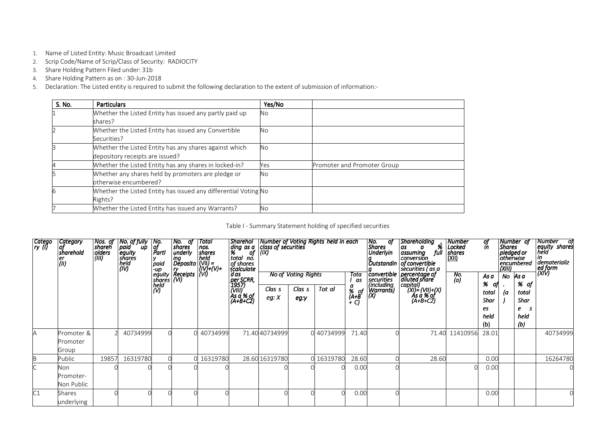- 1. Name of Listed Entity: Music Broadcast Limited
- 2. Scrip Code/Name of Scrip/Class of Security: RADIOCITY
- 3. Share Holding Pattern Filed under: 31b
- 4. Share Holding Pattern as on : 30-Jun-2018
- 5. Declaration: The Listed entity is required to submit the following declaration to the extent of submission of information:-

| S. No. | Particulars                                                                               | Yes/No    |                             |
|--------|-------------------------------------------------------------------------------------------|-----------|-----------------------------|
|        | Whether the Listed Entity has issued any partly paid up<br>shares?                        | <b>No</b> |                             |
|        | Whether the Listed Entity has issued any Convertible<br>Securities?                       | <b>No</b> |                             |
|        | Whether the Listed Entity has any shares against which<br>depository receipts are issued? | <b>No</b> |                             |
|        | Whether the Listed Entity has any shares in locked-in?                                    | Yes       | Promoter and Promoter Group |
|        | Whether any shares held by promoters are pledge or<br>otherwise encumbered?               | <b>No</b> |                             |
|        | Whether the Listed Entity has issued any differential Voting No<br>Rights?                |           |                             |
|        | Whether the Listed Entity has issued any Warrants?                                        | <b>No</b> |                             |

| Catego<br> ry (l) | Category<br> of<br>sharehold<br>er<br>(ii) | Nos. of<br>shareh<br>olders<br>(III) | $\begin{array}{c c}\n & \text{Total} \\  & \text{S} \\ \text{index} \\  & \text{index} \\  & \text{sum} \\  & \text{sum} \\  & \text{sum}\n \end{array}$<br>No. of fully<br>paid up<br>equity<br>shares<br>held<br>(IV) |  |          |                                                       |                 | <b>No of Voting Rights</b> | Number of Voting Rights held in each<br>class of securities | Tota<br>as                | No. oj<br>Shares<br>Underlyin<br><b><i>convertible</i></b> | Shareholding<br>" %<br>full<br>as<br>$\boldsymbol{a}$<br>assuming<br>conversion                                                                                                                                                                                                                                                                                                                                                                                                                                                                                                                                                                                                 | Number<br>Locked<br>shares<br>(XII)<br>No.<br>(a) | of<br>in<br>As a                        | No | Number of<br>Shares<br>pledged or<br>otherwise<br>encumbered<br>As a | Number of<br>  equity shares<br>  held<br>  in<br>  " <br> dematerializ<br> (XIV)<br> |
|-------------------|--------------------------------------------|--------------------------------------|-------------------------------------------------------------------------------------------------------------------------------------------------------------------------------------------------------------------------|--|----------|-------------------------------------------------------|-----------------|----------------------------|-------------------------------------------------------------|---------------------------|------------------------------------------------------------|---------------------------------------------------------------------------------------------------------------------------------------------------------------------------------------------------------------------------------------------------------------------------------------------------------------------------------------------------------------------------------------------------------------------------------------------------------------------------------------------------------------------------------------------------------------------------------------------------------------------------------------------------------------------------------|---------------------------------------------------|-----------------------------------------|----|----------------------------------------------------------------------|---------------------------------------------------------------------------------------|
|                   |                                            |                                      |                                                                                                                                                                                                                         |  |          | per SCRR,<br>1957)<br>(VIII)<br>As a % of<br>(A+B+C2) | Clas s<br>eg: X | Clas s<br>eg:y             | Tot al                                                      | a<br>% of<br>(A+B<br>+ C) | securities<br>(including<br>Marrants)                      | $\begin{array}{c}\n\text{P} \rightarrow \text{D} \rightarrow \text{C} \rightarrow \text{C} \rightarrow \text{C} \rightarrow \text{C} \rightarrow \text{C} \rightarrow \text{C} \rightarrow \text{C} \rightarrow \text{C} \rightarrow \text{C} \rightarrow \text{C} \rightarrow \text{C} \rightarrow \text{C} \rightarrow \text{C} \rightarrow \text{C} \rightarrow \text{C} \rightarrow \text{C} \rightarrow \text{C} \rightarrow \text{C} \rightarrow \text{C} \rightarrow \text{C} \rightarrow \text{C} \rightarrow \text{C} \rightarrow \text{C} \rightarrow \text{C} \rightarrow \text{C} \rightarrow \text{C} \rightarrow \text{C} \rightarrow \text{C} \rightarrow \text$ |                                                   | %<br>total<br>Shar<br>es<br>held<br>(b) | (a | % of<br>total<br>Shar<br>e<br>-S<br>held<br>(b)                      |                                                                                       |
| A                 | Promoter &<br>Promoter<br>Group            |                                      | 40734999                                                                                                                                                                                                                |  | 40734999 |                                                       | 71.40 40734999  |                            | 0 40734999                                                  | 71.40                     |                                                            | 71.40                                                                                                                                                                                                                                                                                                                                                                                                                                                                                                                                                                                                                                                                           | 11410956                                          | 28.01                                   |    |                                                                      | 40734999                                                                              |
| B                 | Public                                     | 19857                                | 16319780                                                                                                                                                                                                                |  | 16319780 |                                                       | 28.60 16319780  |                            | 0 16319780                                                  | 28.60                     |                                                            | 28.60                                                                                                                                                                                                                                                                                                                                                                                                                                                                                                                                                                                                                                                                           |                                                   | 0.00                                    |    |                                                                      | 16264780                                                                              |
|                   | Non<br>Promoter-<br>Non Public             |                                      |                                                                                                                                                                                                                         |  |          |                                                       |                 |                            |                                                             | 0.00                      |                                                            |                                                                                                                                                                                                                                                                                                                                                                                                                                                                                                                                                                                                                                                                                 |                                                   | 0.00                                    |    |                                                                      |                                                                                       |
| C1                | Shares<br>underlying                       |                                      |                                                                                                                                                                                                                         |  |          |                                                       |                 |                            |                                                             | 0.00                      |                                                            |                                                                                                                                                                                                                                                                                                                                                                                                                                                                                                                                                                                                                                                                                 |                                                   | 0.00                                    |    |                                                                      |                                                                                       |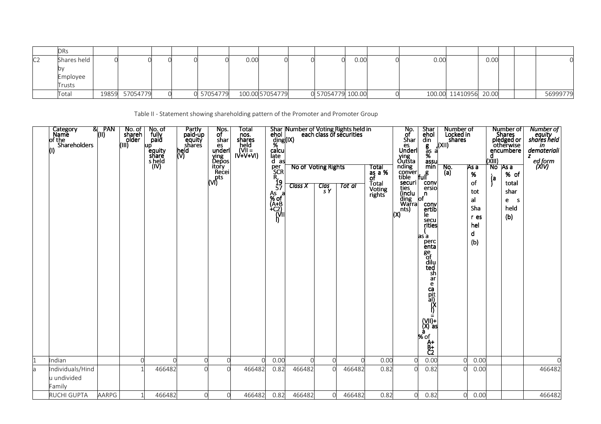|    | DRs         |       |          |  |            |                 |                   |      |      |                       |      |  |          |
|----|-------------|-------|----------|--|------------|-----------------|-------------------|------|------|-----------------------|------|--|----------|
| C2 | Shares held |       |          |  |            | 0.00            |                   | 0.00 | 0.00 |                       | 0.00 |  |          |
|    |             |       |          |  |            |                 |                   |      |      |                       |      |  |          |
|    | Employee    |       |          |  |            |                 |                   |      |      |                       |      |  |          |
|    | Trusts      |       |          |  |            |                 |                   |      |      |                       |      |  |          |
|    | Total       | 19859 | 57054779 |  | 0 57054779 | 100.00 57054779 | 0 57054779 100.00 |      |      | 100.00 11410956 20.00 |      |  | 56999779 |

Table II - Statement showing shareholding pattern of the Promoter and Promoter Group

|    | Category<br>Name<br>of the<br>Shareholders | PAN<br>&।<br>(II) | No. of<br>shareh<br>older<br>(III) | No. of<br>fully<br>paid<br>up<br>equity<br>share<br>s held<br>(IV) | Partly<br>paid-up<br>equity<br>shares<br>held<br>(V) | Nos.<br>of<br>shar<br>es<br>underl<br>ving<br>Depos<br>itory<br>Recei<br>$\overline{(\vee)}$ | Total<br>nos.<br>shares<br>held<br>IV+V+VI) | ehol<br>ding(IX)<br>%<br>calcu<br>ląte<br>d as<br>per<br>SCR<br>$\frac{R}{19}$<br>57<br>As<br>% of<br>a<br>(Ă+B<br>+C2)<br>  (VII)<br>  () | Shar Number of Voting Rights held in<br>ehol $\begin{bmatrix} a_1 & b_2 \\ c_3 & c_4 \end{bmatrix}$ each class of securities<br><b>No of Voting Rights</b><br><b>Class X</b> | Clas<br>S <sub>Y</sub> | Tot al   | Total<br>$\frac{3}{2}$ as $\frac{3}{2}$ %<br>Total<br>Voting<br>rights | No.<br>of<br>Shar<br>es<br>Underl<br>ving<br>Outsta<br>nding<br>conver<br>tible<br>securi<br>ties<br>(inclu<br>ding<br>Warra<br>nts)<br>(X) | Shar<br>ehol<br>din<br>g<br>as<br>%<br>assu<br>min<br>$\mathsf{full}^\mathsf{g}$<br>conv<br>ersio<br>n,<br>$\circ$<br>conv<br>ertib<br>le.<br>secu<br>rities<br>as a<br>perc<br>enta<br>ge<br>of<br>dilu<br>ted<br>sh<br>ar<br>$\begin{bmatrix} c & d \\ d & d \\ e & d \end{bmatrix}$<br>$\begin{bmatrix} 1 & 1 \\ 0 & 0 \\ 0 & 0 \end{bmatrix}$<br>$%$ of<br>$A+$<br>$B_2^+$ | Number of<br>Locked in<br>shares<br>a(XII)<br>a<br>No.<br>(a) | As a<br>%<br>οf<br>tot<br>al<br>Sha<br>r es<br>hel<br>d<br>(b) | Number of<br>Shares<br>pledged or<br>otherwise<br>encumbere<br>$\frac{d}{d}$<br>$\frac{d}{d}$<br>$\frac{d}{d}$<br>TAs a<br>% of<br>(a<br>total<br>shar<br>e<br>- S<br>held<br>(b) | Number of<br>equity<br>shares held<br>in<br>demateriali<br>z<br>ed form<br>(XIV) |
|----|--------------------------------------------|-------------------|------------------------------------|--------------------------------------------------------------------|------------------------------------------------------|----------------------------------------------------------------------------------------------|---------------------------------------------|--------------------------------------------------------------------------------------------------------------------------------------------|------------------------------------------------------------------------------------------------------------------------------------------------------------------------------|------------------------|----------|------------------------------------------------------------------------|---------------------------------------------------------------------------------------------------------------------------------------------|--------------------------------------------------------------------------------------------------------------------------------------------------------------------------------------------------------------------------------------------------------------------------------------------------------------------------------------------------------------------------------|---------------------------------------------------------------|----------------------------------------------------------------|-----------------------------------------------------------------------------------------------------------------------------------------------------------------------------------|----------------------------------------------------------------------------------|
|    | Indian                                     |                   | $\Omega$                           |                                                                    | ∩                                                    |                                                                                              | C                                           | 0.00                                                                                                                                       |                                                                                                                                                                              | $\Omega$               | $\Omega$ | 0.00                                                                   | $\Omega$                                                                                                                                    | 0.00                                                                                                                                                                                                                                                                                                                                                                           |                                                               | 0.00                                                           |                                                                                                                                                                                   | $\Omega$                                                                         |
| la | Individuals/Hind<br>lu undivided<br>Family |                   |                                    | 466482                                                             |                                                      |                                                                                              | 466482                                      | 0.82                                                                                                                                       | 466482                                                                                                                                                                       | $\Omega$               | 466482   | 0.82                                                                   | $\Omega$                                                                                                                                    | 0.82                                                                                                                                                                                                                                                                                                                                                                           | $\Omega$                                                      | 0.00                                                           |                                                                                                                                                                                   | 466482                                                                           |
|    | <b>RUCHI GUPTA</b>                         | AARPG             | $\mathbf{1}$                       | 466482                                                             | $\Omega$                                             | $\overline{0}$                                                                               | 466482                                      | 0.82                                                                                                                                       | 466482                                                                                                                                                                       | $\Omega$               | 466482   | 0.82                                                                   | $\overline{O}$                                                                                                                              | 0.82                                                                                                                                                                                                                                                                                                                                                                           | $\overline{0}$                                                | 0.00                                                           |                                                                                                                                                                                   | 466482                                                                           |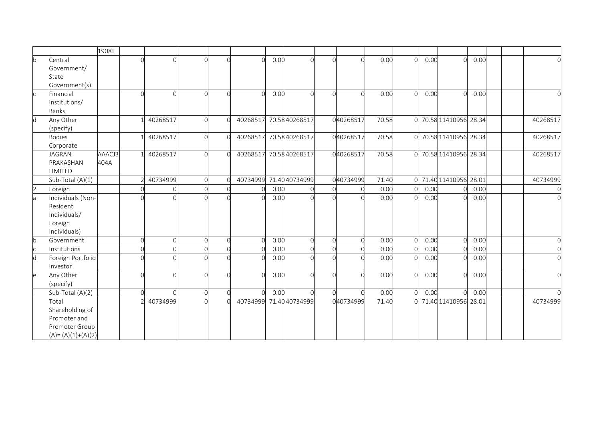|              |                       | 1908J  |          |          |            |          |      |                         |                |       |                |      |                        |      |  |            |
|--------------|-----------------------|--------|----------|----------|------------|----------|------|-------------------------|----------------|-------|----------------|------|------------------------|------|--|------------|
| $\mathsf{b}$ | Central               |        | ∩        |          |            |          | 0.00 |                         | $\Omega$       | 0.00  | $\Omega$       | 0.00 | U                      | 0.00 |  |            |
|              | Government/           |        |          |          |            |          |      |                         |                |       |                |      |                        |      |  |            |
|              | State                 |        |          |          |            |          |      |                         |                |       |                |      |                        |      |  |            |
|              | Government(s)         |        |          |          |            |          |      |                         |                |       |                |      |                        |      |  |            |
|              | Financial             |        | ∩        |          |            | ∩        | 0.00 |                         | $\Omega$       | 0.00  | $\Omega$       | 0.00 | $\cap$                 | 0.00 |  |            |
|              | Institutions/         |        |          |          |            |          |      |                         |                |       |                |      |                        |      |  |            |
|              | <b>Banks</b>          |        |          |          |            |          |      |                         |                |       |                |      |                        |      |  |            |
| d            | Any Other             |        | 40268517 | $\cap$   | $\cap$     | 40268517 |      | 70.5840268517           | 040268517      | 70.58 |                |      | 0 70.58 11410956 28.34 |      |  | 40268517   |
|              | (specify)             |        |          |          |            |          |      |                         |                |       |                |      |                        |      |  |            |
|              | <b>Bodies</b>         |        | 40268517 | ∩        |            |          |      | 40268517 70.58 40268517 | 040268517      | 70.58 |                |      | 0 70.58 11410956 28.34 |      |  | 40268517   |
|              | Corporate             |        |          |          |            |          |      |                         |                |       |                |      |                        |      |  |            |
|              | <b>JAGRAN</b>         | AAACJ3 | 40268517 | $\cap$   | $\sqrt{ }$ | 40268517 |      | 70.5840268517           | 040268517      | 70.58 |                |      | 0 70.58 11410956 28.34 |      |  | 40268517   |
|              | PRAKASHAN             | 404A   |          |          |            |          |      |                         |                |       |                |      |                        |      |  |            |
|              | LIMITED               |        |          |          |            |          |      |                         |                |       |                |      |                        |      |  |            |
|              | Sub-Total (A)(1)      |        | 40734999 | ∩        |            |          |      | 40734999 71.40 40734999 | 040734999      | 71.40 |                |      | 0 71.40 11410956 28.01 |      |  | 40734999   |
| 2            | Foreign               |        | $\cap$   |          |            | $\Omega$ | 0.00 |                         | <sup>o</sup>   | 0.00  | O              | 0.00 |                        | 0.00 |  |            |
| la           | Individuals (Non-     |        |          |          |            | $\cap$   | 0.00 |                         | $\Omega$       | 0.00  | $\Omega$       | 0.00 | U                      | 0.00 |  |            |
|              | Resident              |        |          |          |            |          |      |                         |                |       |                |      |                        |      |  |            |
|              | Individuals/          |        |          |          |            |          |      |                         |                |       |                |      |                        |      |  |            |
|              | Foreign               |        |          |          |            |          |      |                         |                |       |                |      |                        |      |  |            |
|              | Individuals)          |        |          |          |            |          |      |                         |                |       |                |      |                        |      |  |            |
| b            | Government            |        | ∩        | $\cap$   |            | $\Omega$ | 0.00 |                         | $\overline{0}$ | 0.00  | $\Omega$       | 0.00 |                        | 0.00 |  | ſ          |
|              | Institutions          |        | $\Omega$ | $\Omega$ |            | $\Omega$ | 0.00 |                         | $\circ$        | 0.00  | $\overline{O}$ | 0.00 |                        | 0.00 |  | $\cap$     |
| d            | Foreign Portfolio     |        | ∩        | ∩        |            | ∩        | 0.00 |                         | $\Omega$       | 0.00  | O              | 0.00 |                        | 0.00 |  | $\sqrt{ }$ |
|              | Investor              |        |          |          |            |          |      |                         |                |       |                |      |                        |      |  |            |
| e            | Any Other             |        | $\cap$   | Ω        | C          | $\cap$   | 0.00 |                         | $\Omega$       | 0.00  | $\Omega$       | 0.00 | $\Omega$               | 0.00 |  |            |
|              | (specify)             |        |          |          |            |          |      |                         |                |       |                |      |                        |      |  |            |
|              | Sub-Total (A)(2)      |        | $\cap$   | $\Omega$ |            | $\Omega$ | 0.00 |                         | $\Omega$       | 0.00  | $\overline{O}$ | 0.00 |                        | 0.00 |  |            |
|              | Total                 |        | 40734999 |          |            | 40734999 |      | 71.4040734999           | 040734999      | 71.40 |                |      | 0 71.40 11410956 28.01 |      |  | 40734999   |
|              | Shareholding of       |        |          |          |            |          |      |                         |                |       |                |      |                        |      |  |            |
|              | Promoter and          |        |          |          |            |          |      |                         |                |       |                |      |                        |      |  |            |
|              | Promoter Group        |        |          |          |            |          |      |                         |                |       |                |      |                        |      |  |            |
|              | $(A) = (A)(1)+(A)(2)$ |        |          |          |            |          |      |                         |                |       |                |      |                        |      |  |            |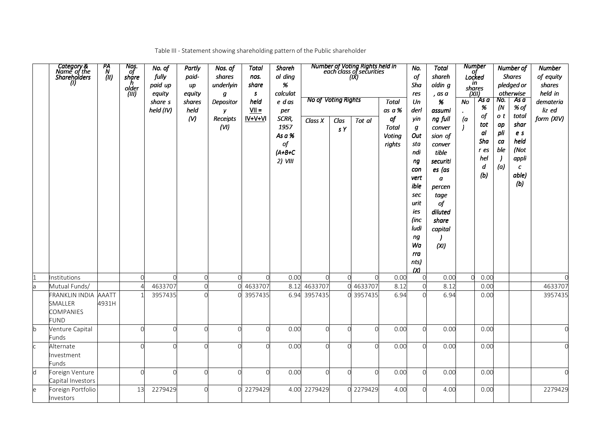|  | Table III - Statement showing shareholding pattern of the Public shareholder |
|--|------------------------------------------------------------------------------|
|  |                                                                              |

|             | Category &<br>Name of the<br>Shareholders<br>(I)                   | PA<br>`N<br>(II) | Nos.<br>of<br>share<br>h<br>older<br>(III) | No. of<br>fully<br>paid up<br>equity<br>share s<br>held (IV) | Partly<br>paid-<br>up<br>equity<br>shares<br>held<br>(V) | Nos. of<br>shares<br>underlyin<br>g<br>Depositor<br>у<br>Receipts<br>(VI) | Total<br>nos.<br>share<br>$\mathsf{s}$<br>held<br>$VII =$<br>IV+V+VI | Shareh<br>ol ding<br>%<br>calculat<br>e das<br>per<br>SCRR,<br>1957<br>As a %<br>of<br>$(A+B+C)$<br>$2)$ VIII | <b>No of Voting Rights</b><br>Class X | Clas<br>s Y | Number of Voting Rights held in<br>each class of securities<br>(IX)<br>Tot al | <b>Total</b><br>as a $\%$<br>of<br><b>Total</b><br>Voting<br>rights | No.<br>of<br>Sha<br>res<br>Un<br>derl<br>yin<br>g<br>Out<br>sta<br>ndi<br>ng<br>con<br>vert<br>ible<br>sec<br>urit<br>ies<br>(inc<br>ludi<br>ng<br>Wa<br>rra<br>nts) | <b>Total</b><br>shareh<br>oldin g<br>, as a<br>%<br>assumi<br>ng full<br>conver<br>sion of<br>conver<br>tible<br>securiti<br>es (as<br>$\boldsymbol{a}$<br>percen<br>tage<br>of<br>diluted<br>share<br>capital<br>(XI) | No<br>(a) | <b>Number</b><br><br>Locked<br>in<br>shares<br>(XII)<br>'As a<br>%<br>of<br>tot<br>al<br>Sha<br>r es<br>hel<br>d<br>(b) | No.<br>(N)<br>o t<br>ap<br>pli<br>ca<br>ble<br>(a) | Number of<br><b>Shares</b><br>pledged or<br>otherwise<br>As a<br>% of<br>total<br>shar<br>e <sub>s</sub><br>held<br>(Not<br>appli<br>$\pmb{c}$<br>able)<br>(b) | Number<br>of equity<br>shares<br>held in<br>demateria<br>liz ed<br>form (XIV) |
|-------------|--------------------------------------------------------------------|------------------|--------------------------------------------|--------------------------------------------------------------|----------------------------------------------------------|---------------------------------------------------------------------------|----------------------------------------------------------------------|---------------------------------------------------------------------------------------------------------------|---------------------------------------|-------------|-------------------------------------------------------------------------------|---------------------------------------------------------------------|----------------------------------------------------------------------------------------------------------------------------------------------------------------------|------------------------------------------------------------------------------------------------------------------------------------------------------------------------------------------------------------------------|-----------|-------------------------------------------------------------------------------------------------------------------------|----------------------------------------------------|----------------------------------------------------------------------------------------------------------------------------------------------------------------|-------------------------------------------------------------------------------|
|             |                                                                    |                  |                                            |                                                              |                                                          |                                                                           |                                                                      |                                                                                                               |                                       |             |                                                                               |                                                                     | (X)                                                                                                                                                                  |                                                                                                                                                                                                                        |           |                                                                                                                         |                                                    |                                                                                                                                                                |                                                                               |
|             | Institutions<br>Mutual Funds/                                      |                  |                                            | 4633707                                                      |                                                          | ∩                                                                         | 4633707                                                              | 0.00<br>8.12                                                                                                  | $\Omega$<br>4633707                   |             | $\Omega$<br>4633707                                                           | 0.00<br>8.12                                                        | $\mathbf 0$<br>$\overline{0}$                                                                                                                                        | 0.00<br>8.12                                                                                                                                                                                                           | $\Omega$  | 0.00<br>0.00                                                                                                            |                                                    |                                                                                                                                                                | 0<br>4633707                                                                  |
| la          | FRANKLIN INDIA AAATT<br>SMALLER<br><b>COMPANIES</b><br><b>FUND</b> | 4931H            |                                            | 3957435                                                      |                                                          | ∩                                                                         | 3957435                                                              |                                                                                                               | 6.94 3957435                          |             | 3957435                                                                       | 6.94                                                                | $\Omega$                                                                                                                                                             | 6.94                                                                                                                                                                                                                   |           | 0.00                                                                                                                    |                                                    |                                                                                                                                                                | 3957435                                                                       |
| $\mathsf b$ | Venture Capital<br>Funds                                           |                  |                                            |                                                              |                                                          | $\cap$                                                                    |                                                                      | 0.00                                                                                                          | $\Omega$                              | $\cap$      | $\Omega$                                                                      | 0.00                                                                | $\Omega$                                                                                                                                                             | 0.00                                                                                                                                                                                                                   |           | 0.00                                                                                                                    |                                                    |                                                                                                                                                                |                                                                               |
| <b>c</b>    | Alternate<br>Investment<br>Funds                                   |                  |                                            |                                                              |                                                          | $\cap$                                                                    |                                                                      | 0.00                                                                                                          | $\cap$                                | $\cap$      | $\cap$                                                                        | 0.00                                                                | $\overline{O}$                                                                                                                                                       | 0.00                                                                                                                                                                                                                   |           | 0.00                                                                                                                    |                                                    |                                                                                                                                                                |                                                                               |
| d           | Foreign Venture<br>Capital Investors                               |                  | $\cap$                                     |                                                              |                                                          | $\cap$                                                                    |                                                                      | 0.00                                                                                                          | $\cap$                                | $\cap$      | $\cap$                                                                        | 0.00                                                                | $\Omega$                                                                                                                                                             | 0.00                                                                                                                                                                                                                   |           | 0.00                                                                                                                    |                                                    |                                                                                                                                                                |                                                                               |
| e           | Foreign Portfolio<br>Investors                                     |                  | 13                                         | 2279429                                                      |                                                          |                                                                           | 0 2279429                                                            | 4.00                                                                                                          | 2279429                               | $\cap$      | 2279429                                                                       | 4.00                                                                | $\Omega$                                                                                                                                                             | 4.00                                                                                                                                                                                                                   |           | 0.00                                                                                                                    |                                                    |                                                                                                                                                                | 2279429                                                                       |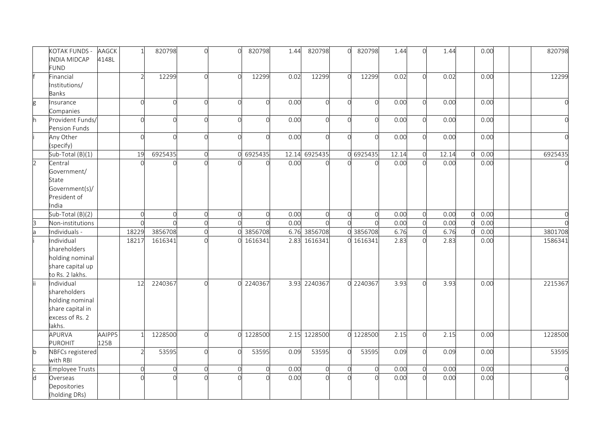|                | KOTAK FUNDS -<br><b>INDIA MIDCAP</b><br><b>FUND</b>                                            | <b>AAGCK</b><br>4148L |                | 820798   | $\Omega$       | $\cap$   | 820798     | 1.44 | 820798        | $\overline{O}$ | 820798    | 1.44  | ∩        | 1.44  | 0.00 |  | 820798  |
|----------------|------------------------------------------------------------------------------------------------|-----------------------|----------------|----------|----------------|----------|------------|------|---------------|----------------|-----------|-------|----------|-------|------|--|---------|
|                | Financial<br>Institutions/<br>Banks                                                            |                       |                | 12299    | $\Omega$       |          | 12299      | 0.02 | 12299         | $\Omega$       | 12299     | 0.02  | $\cap$   | 0.02  | 0.00 |  | 12299   |
| g              | Insurance<br>Companies                                                                         |                       | $\Omega$       | $\cap$   | $\cap$         | $\cap$   |            | 0.00 | $\cap$        | $\Omega$       |           | 0.00  | $\cap$   | 0.00  | 0.00 |  |         |
| h              | Provident Funds/<br>Pension Funds                                                              |                       | $\cap$         | $\cap$   | $\cap$         | $\cap$   |            | 0.00 |               | $\Omega$       |           | 0.00  | $\cap$   | 0.00  | 0.00 |  |         |
|                | Any Other<br>(specify)                                                                         |                       | $\Omega$       | $\Omega$ | $\Omega$       | $\Omega$ |            | 0.00 | $\cap$        | $\Omega$       |           | 0.00  | $\Omega$ | 0.00  | 0.00 |  |         |
|                | Sub-Total (B)(1)                                                                               |                       | 19             | 6925435  | $\Omega$       |          | 6925435    |      | 12.14 6925435 |                | 0 6925435 | 12.14 | $\Omega$ | 12.14 | 0.00 |  | 6925435 |
| $\overline{2}$ | Central<br>Government/<br>State<br>Government(s)/<br>President of<br>India                     |                       |                |          |                |          |            | 0.00 |               |                |           | 0.00  | $\Omega$ | 0.00  | 0.00 |  |         |
|                | Sub-Total (B)(2)                                                                               |                       | $\Omega$       | $\Omega$ | $\overline{0}$ | $\Omega$ | $\sqrt{ }$ | 0.00 | $\cap$        | $\overline{0}$ |           | 0.00  | $\Omega$ | 0.00  | 0.00 |  |         |
| З              | Non-institutions                                                                               |                       | $\Omega$       |          | $\Omega$       |          |            | 0.00 |               |                |           | 0.00  | $\cap$   | 0.00  | 0.00 |  |         |
|                | Individuals -                                                                                  |                       | 18229          | 3856708  | $\overline{0}$ |          | 3856708    |      | 6.76 3856708  | $\cap$         | 3856708   | 6.76  | $\Omega$ | 6.76  | 0.00 |  | 3801708 |
|                | Individual<br>shareholders<br>holding nominal<br>share capital up<br>to Rs. 2 lakhs.           |                       | 18217          | 1616341  |                |          | 1616341    |      | 2.83 1616341  |                | 0 1616341 | 2.83  |          | 2.83  | 0.00 |  | 1586341 |
| ii.            | Individual<br>shareholders<br>holding nominal<br>share capital in<br>excess of Rs. 2<br>lakhs. |                       | 12             | 2240367  | $\cap$         | $\cap$   | 2240367    |      | 3.93 2240367  |                | 0 2240367 | 3.93  | $\cap$   | 3.93  | 0.00 |  | 2215367 |
|                | APURVA<br><b>PUROHIT</b>                                                                       | AAIPP5<br>125B        |                | 1228500  | $\Omega$       |          | 1228500    |      | 2.15 1228500  |                | 0 1228500 | 2.15  | $\cap$   | 2.15  | 0.00 |  | 1228500 |
| $\mathsf b$    | NBFCs registered<br>with RBI                                                                   |                       |                | 53595    | $\cap$         | $\Omega$ | 53595      | 0.09 | 53595         | $\Omega$       | 53595     | 0.09  | $\Omega$ | 0.09  | 0.00 |  | 53595   |
|                | Employee Trusts                                                                                |                       | $\overline{0}$ | $\Omega$ | $\overline{0}$ | $\Omega$ |            | 0.00 | $\Omega$      | $\Omega$       |           | 0.00  | $\Omega$ | 0.00  | 0.00 |  |         |
| d              | Overseas<br>Depositories<br>(holding DRs)                                                      |                       |                |          |                |          |            | 0.00 |               |                |           | 0.00  | $\Omega$ | 0.00  | 0.00 |  |         |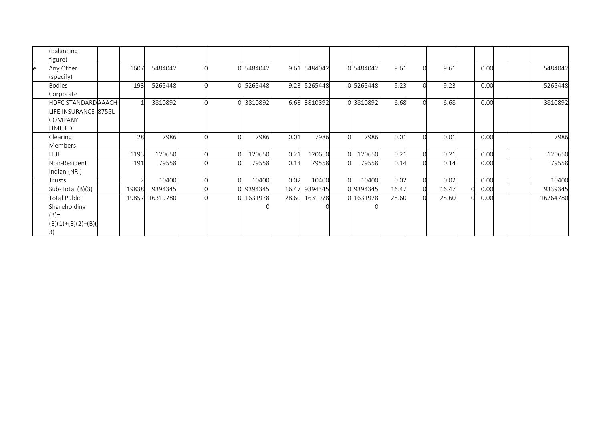|   | (balancing<br>figure)                                                                  |       |          |        |         |       |              |        |           |       |          |       |      |  |          |
|---|----------------------------------------------------------------------------------------|-------|----------|--------|---------|-------|--------------|--------|-----------|-------|----------|-------|------|--|----------|
| e | Any Other<br>(specify)                                                                 | 1607  | 5484042  | $\cap$ | 5484042 |       | 9.61 5484042 |        | 5484042   | 9.61  | $\cap$   | 9.61  | 0.00 |  | 5484042  |
|   | <b>Bodies</b><br>Corporate                                                             | 193   | 5265448  |        | 5265448 | 9.23  | 5265448      |        | 0 5265448 | 9.23  |          | 9.23  | 0.00 |  | 5265448  |
|   | <b>HDFC STANDARD AAACH</b><br>LIFE INSURANCE 8755L<br><b>COMPANY</b><br><b>LIMITED</b> |       | 3810892  |        | 3810892 | 6.68  | 3810892      |        | 0 3810892 | 6.68  |          | 6.68  | 0.00 |  | 3810892  |
|   | Clearing<br>Members                                                                    | 28    | 7986     |        | 7986    | 0.01  | 7986         | $\cap$ | 7986      | 0.01  | $\Omega$ | 0.01  | 0.00 |  | 7986     |
|   | <b>HUF</b>                                                                             | 1193  | 120650   |        | 120650  | 0.21  | 120650       |        | 120650    | 0.21  |          | 0.21  | 0.00 |  | 120650   |
|   | Non-Resident<br>Indian (NRI)                                                           | 191   | 79558    |        | 79558   | 0.14  | 79558        |        | 79558     | 0.14  | $\Omega$ | 0.14  | 0.00 |  | 79558    |
|   | Trusts                                                                                 |       | 10400    |        | 10400   | 0.02  | 10400        |        | 10400     | 0.02  |          | 0.02  | 0.00 |  | 10400    |
|   | Sub-Total (B)(3)                                                                       | 19838 | 9394345  |        | 9394345 | 16.47 | 9394345      |        | 9394345   | 16.47 |          | 16.47 | 0.00 |  | 9339345  |
|   | <b>Total Public</b><br>Shareholding<br>$(B)$ =<br>$(B)(1)+(B)(2)+(B)(B)$<br>3)         | 19857 | 16319780 |        | 1631978 | 28.60 | 1631978      |        | 0 1631978 | 28.60 |          | 28.60 | 0.00 |  | 16264780 |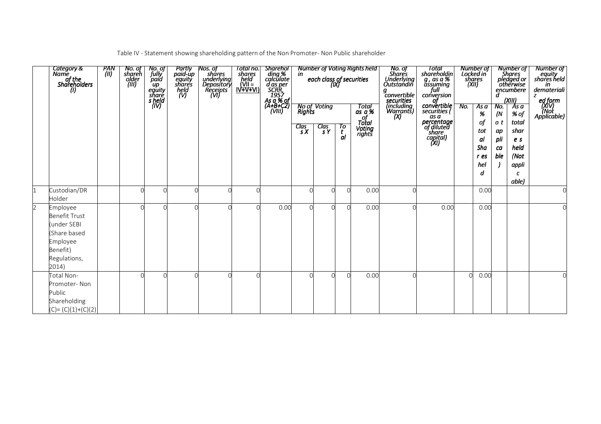Table IV - Statement showing shareholding pattern of the Non Promoter- Non Public shareholder

|                | Category &<br>Name<br>anne<br>of the<br>Shareholders<br>(I)                                                      | PAN<br>(II) | No. of<br>shareh<br>older<br>(III) | No. of<br>fully<br>paid<br>up<br>equity<br>share<br>s held<br>(IV) | Partly<br>paid-up<br>equity<br>shares<br>held<br>(V) | <i>Nos. of<br/>shares<br/>underlying<br/>Depository<br/>Receipts<br/>(VI)</i> | Total no.<br>shares<br>held<br><u>(VII =</u><br><u>IV+V+VI)</u> | Sharehol<br>ding %<br>calculate<br>d as per<br>SCRR,<br>1957<br>As a % of<br>(A+B+C2)<br>(VIII) | $\frac{Clas}{sX}$ | each class of securities<br>(IX)<br>No of Voting<br>Rights<br>$\frac{Clas}{sY}$ | Tо<br>t<br>al | Number of Voting Rights held<br>Total<br>$as a \%$<br>of<br><b>Total</b><br>Voting<br>rights | No. of<br>Shares<br>Underlying<br>Outstandin<br>convertible<br>securities<br>(including<br>Warrants)<br>(X) | Total<br>shareholdin<br>g , as a %<br>assuming<br>full<br>conversion<br>of<br>convertible<br>securities (<br>as a<br>percentage<br>of diluted<br>share<br>capital)<br>(XI) | No. | Number of<br>Locked in<br>shares<br>(XII)<br>As a<br>%<br>of<br>tot<br>al<br>Sha<br>r es<br>hel<br>d | No.<br>(N<br>o t<br>ap<br>pli<br>ca<br>ble | Number of<br>Shares<br>pledged or<br>otherwise<br>encumbere<br>(XIII)<br>As a<br>% of<br>total<br>shar<br>e s<br>held<br>(Not<br>appli<br>C<br>able) | <b>Number of</b><br>equity<br>shares held<br>in<br>demateriali<br>z<br>ed form<br>(XIV)<br>Applicable) |
|----------------|------------------------------------------------------------------------------------------------------------------|-------------|------------------------------------|--------------------------------------------------------------------|------------------------------------------------------|-------------------------------------------------------------------------------|-----------------------------------------------------------------|-------------------------------------------------------------------------------------------------|-------------------|---------------------------------------------------------------------------------|---------------|----------------------------------------------------------------------------------------------|-------------------------------------------------------------------------------------------------------------|----------------------------------------------------------------------------------------------------------------------------------------------------------------------------|-----|------------------------------------------------------------------------------------------------------|--------------------------------------------|------------------------------------------------------------------------------------------------------------------------------------------------------|--------------------------------------------------------------------------------------------------------|
|                | Custodian/DR<br>Holder                                                                                           |             | ∩                                  |                                                                    |                                                      |                                                                               |                                                                 |                                                                                                 |                   |                                                                                 |               | 0.00                                                                                         |                                                                                                             |                                                                                                                                                                            |     | 0.00                                                                                                 |                                            |                                                                                                                                                      |                                                                                                        |
| $\overline{2}$ | Employee<br><b>Benefit Trust</b><br>(under SEBI<br>(Share based<br>Employee<br>Benefit)<br>Regulations,<br>2014) |             |                                    |                                                                    |                                                      |                                                                               |                                                                 | 0.00                                                                                            |                   |                                                                                 |               | 0.00                                                                                         |                                                                                                             | 0.00                                                                                                                                                                       |     | 0.00                                                                                                 |                                            |                                                                                                                                                      |                                                                                                        |
|                | Total Non-<br>Promoter-Non<br>Public<br>Shareholding<br>$(C) = (C)(1)+(C)(2)$                                    |             |                                    |                                                                    |                                                      |                                                                               |                                                                 |                                                                                                 |                   |                                                                                 | $\cap$        | 0.00                                                                                         |                                                                                                             |                                                                                                                                                                            |     | 0.00                                                                                                 |                                            |                                                                                                                                                      |                                                                                                        |